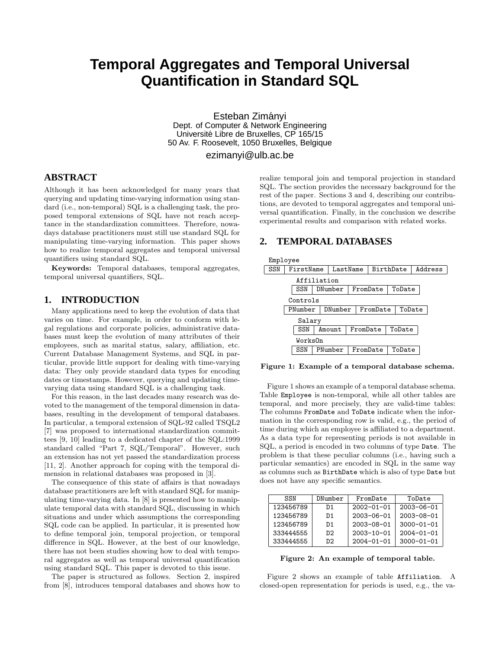# **Temporal Aggregates and Temporal Universal Quantification in Standard SQL**

Esteban Zimányi Dept. of Computer & Network Engineering Universite Libre de Bruxelles, CP 165/15 ´ 50 Av. F. Roosevelt, 1050 Bruxelles, Belgique

ezimanyi@ulb.ac.be

## **ABSTRACT**

Although it has been acknowledged for many years that querying and updating time-varying information using standard (i.e., non-temporal) SQL is a challenging task, the proposed temporal extensions of SQL have not reach acceptance in the standardization committees. Therefore, nowadays database practitioners must still use standard SQL for manipulating time-varying information. This paper shows how to realize temporal aggregates and temporal universal quantifiers using standard SQL.

Keywords: Temporal databases, temporal aggregates, temporal universal quantifiers, SQL.

#### **1. INTRODUCTION**

Many applications need to keep the evolution of data that varies on time. For example, in order to conform with legal regulations and corporate policies, administrative databases must keep the evolution of many attributes of their employees, such as marital status, salary, affiliation, etc. Current Database Management Systems, and SQL in particular, provide little support for dealing with time-varying data: They only provide standard data types for encoding dates or timestamps. However, querying and updating timevarying data using standard SQL is a challenging task.

For this reason, in the last decades many research was devoted to the management of the temporal dimension in databases, resulting in the development of temporal databases. In particular, a temporal extension of SQL-92 called TSQL2 [7] was proposed to international standardization committees [9, 10] leading to a dedicated chapter of the SQL:1999 standard called "Part 7, SQL/Temporal". However, such an extension has not yet passed the standardization process [11, 2]. Another approach for coping with the temporal dimension in relational databases was proposed in [3].

The consequence of this state of affairs is that nowadays database practitioners are left with standard SQL for manipulating time-varying data. In [8] is presented how to manipulate temporal data with standard SQL, discussing in which situations and under which assumptions the corresponding SQL code can be applied. In particular, it is presented how to define temporal join, temporal projection, or temporal difference in SQL. However, at the best of our knowledge, there has not been studies showing how to deal with temporal aggregates as well as temporal universal quantification using standard SQL. This paper is devoted to this issue.

The paper is structured as follows. Section 2, inspired from [8], introduces temporal databases and shows how to realize temporal join and temporal projection in standard SQL. The section provides the necessary background for the rest of the paper. Sections 3 and 4, describing our contributions, are devoted to temporal aggregates and temporal universal quantification. Finally, in the conclusion we describe experimental results and comparison with related works.

# **2. TEMPORAL DATABASES**



Figure 1: Example of a temporal database schema.

Figure 1 shows an example of a temporal database schema. Table Employee is non-temporal, while all other tables are temporal, and more precisely, they are valid-time tables: The columns FromDate and ToDate indicate when the information in the corresponding row is valid, e.g., the period of time during which an employee is affiliated to a department. As a data type for representing periods is not available in SQL, a period is encoded in two columns of type Date. The problem is that these peculiar columns (i.e., having such a particular semantics) are encoded in SQL in the same way as columns such as BirthDate which is also of type Date but does not have any specific semantics.

| SSN       | DNumber<br>FromDate |                  | ToDate           |  |
|-----------|---------------------|------------------|------------------|--|
| 123456789 | D1                  | $2002 - 01 - 01$ | $2003 - 06 - 01$ |  |
| 123456789 | D1                  | $2003 - 06 - 01$ | $2003 - 08 - 01$ |  |
| 123456789 | D1                  | $2003 - 08 - 01$ | $3000 - 01 - 01$ |  |
| 333444555 | D <sub>2</sub>      | $2003 - 10 - 01$ | $2004 - 01 - 01$ |  |
| 333444555 | D2.                 | $2004 - 01 - 01$ | $3000 - 01 - 01$ |  |

Figure 2: An example of temporal table.

Figure 2 shows an example of table Affiliation. A closed-open representation for periods is used, e.g., the va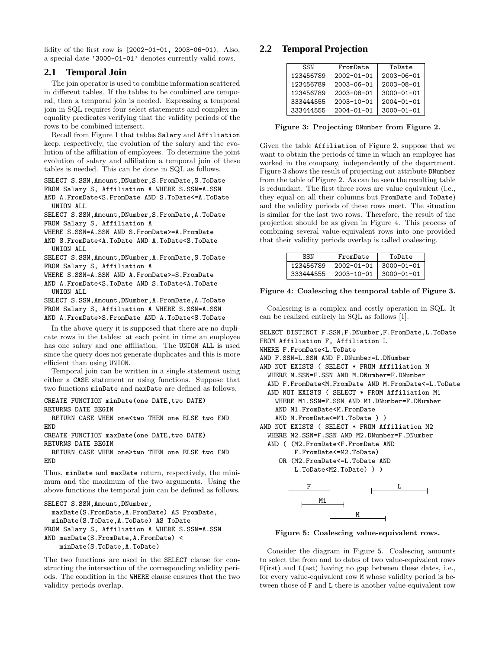lidity of the first row is [2002-01-01, 2003-06-01). Also, a special date '3000-01-01' denotes currently-valid rows.

### **2.1 Temporal Join**

The join operator is used to combine information scattered in different tables. If the tables to be combined are temporal, then a temporal join is needed. Expressing a temporal join in SQL requires four select statements and complex inequality predicates verifying that the validity periods of the rows to be combined intersect.

Recall from Figure 1 that tables Salary and Affiliation keep, respectively, the evolution of the salary and the evolution of the affiliation of employees. To determine the joint evolution of salary and affiliation a temporal join of these tables is needed. This can be done in SQL as follows.

SELECT S.SSN,Amount,DNumber,S.FromDate,S.ToDate

FROM Salary S, Affiliation A WHERE S.SSN=A.SSN AND A.FromDate<S.FromDate AND S.ToDate<=A.ToDate UNTON ALL.

SELECT S.SSN,Amount,DNumber,S.FromDate,A.ToDate FROM Salary S, Affiliation A

WHERE S.SSN=A.SSN AND S.FromDate>=A.FromDate

- AND S.FromDate<A.ToDate AND A.ToDate<S.ToDate
- UNION ALL

SELECT S.SSN,Amount,DNumber,A.FromDate,S.ToDate

- FROM Salary S, Affiliation A
- WHERE S.SSN=A.SSN AND A.FromDate>=S.FromDate AND A.FromDate<S.ToDate AND S.ToDate<A.ToDate
- UNION ALL SELECT S.SSN,Amount,DNumber,A.FromDate,A.ToDate

FROM Salary S, Affiliation A WHERE S.SSN=A.SSN AND A.FromDate>S.FromDate AND A.ToDate<S.ToDate

In the above query it is supposed that there are no duplicate rows in the tables: at each point in time an employee has one salary and one affiliation. The UNION ALL is used since the query does not generate duplicates and this is more efficient than using UNION.

Temporal join can be written in a single statement using either a CASE statement or using functions. Suppose that two functions minDate and maxDate are defined as follows.

CREATE FUNCTION minDate(one DATE, two DATE) RETURNS DATE BEGIN

RETURN CASE WHEN one<two THEN one ELSE two END END

CREATE FUNCTION maxDate(one DATE,two DATE) RETURNS DATE BEGIN

RETURN CASE WHEN one>two THEN one ELSE two END END

Thus, minDate and maxDate return, respectively, the minimum and the maximum of the two arguments. Using the above functions the temporal join can be defined as follows.

```
SELECT S.SSN,Amount,DNumber,
 maxDate(S.FromDate,A.FromDate) AS FromDate,
 minDate(S.ToDate,A.ToDate) AS ToDate
FROM Salary S, Affiliation A WHERE S.SSN=A.SSN
AND maxDate(S.FromDate,A.FromDate) <
   minDate(S.ToDate,A.ToDate)
```
The two functions are used in the SELECT clause for constructing the intersection of the corresponding validity periods. The condition in the WHERE clause ensures that the two validity periods overlap.

# **2.2 Temporal Projection**

| SSN       | FromDate         | ToDate           |
|-----------|------------------|------------------|
| 123456789 | $2002 - 01 - 01$ | $2003 - 06 - 01$ |
| 123456789 | $2003 - 06 - 01$ | $2003 - 08 - 01$ |
| 123456789 | $2003 - 08 - 01$ | $3000 - 01 - 01$ |
| 333444555 | $2003 - 10 - 01$ | $2004 - 01 - 01$ |
| 333444555 | $2004 - 01 - 01$ | $3000 - 01 - 01$ |

Figure 3: Projecting DNumber from Figure 2.

Given the table Affiliation of Figure 2, suppose that we want to obtain the periods of time in which an employee has worked in the company, independently of the department. Figure 3 shows the result of projecting out attribute DNumber from the table of Figure 2. As can be seen the resulting table is redundant. The first three rows are value equivalent (i.e., they equal on all their columns but FromDate and ToDate) and the validity periods of these rows meet. The situation is similar for the last two rows. Therefore, the result of the projection should be as given in Figure 4. This process of combining several value-equivalent rows into one provided that their validity periods overlap is called coalescing.

| SSN       | FromDate         | ToDate           |
|-----------|------------------|------------------|
| 123456789 | $2002 - 01 - 01$ | $3000 - 01 - 01$ |
| 333444555 | $2003 - 10 - 01$ | $3000 - 01 - 01$ |

Figure 4: Coalescing the temporal table of Figure 3.

Coalescing is a complex and costly operation in SQL. It can be realized entirely in SQL as follows [1].

SELECT DISTINCT F.SSN,F.DNumber,F.FromDate,L.ToDate FROM Affiliation F, Affiliation L WHERE F.FromDate<L.ToDate AND F.SSN=L.SSN AND F.DNumber=L.DNumber AND NOT EXISTS ( SELECT \* FROM Affiliation M WHERE M.SSN=F.SSN AND M.DNumber=F.DNumber AND F.FromDate<M.FromDate AND M.FromDate<=L.ToDate AND NOT EXISTS ( SELECT \* FROM Affiliation M1 WHERE M1.SSN=F.SSN AND M1.DNumber=F.DNumber AND M1.FromDate<M.FromDate AND M.FromDate<=M1.ToDate ) ) AND NOT EXISTS ( SELECT \* FROM Affiliation M2 WHERE M2.SSN=F.SSN AND M2.DNumber=F.DNumber AND ( (M2.FromDate<F.FromDate AND F.FromDate<=M2.ToDate) OR (M2.FromDate<=L.ToDate AND L.ToDate<M2.ToDate) ) )  $\mathbf{F}$   $\mathbf{L}$ M1 M

Figure 5: Coalescing value-equivalent rows.

Consider the diagram in Figure 5. Coalescing amounts to select the from and to dates of two value-equivalent rows  $F($ irst) and  $L($ ast) having no gap between these dates, i.e., for every value-equivalent row M whose validity period is between those of F and L there is another value-equivalent row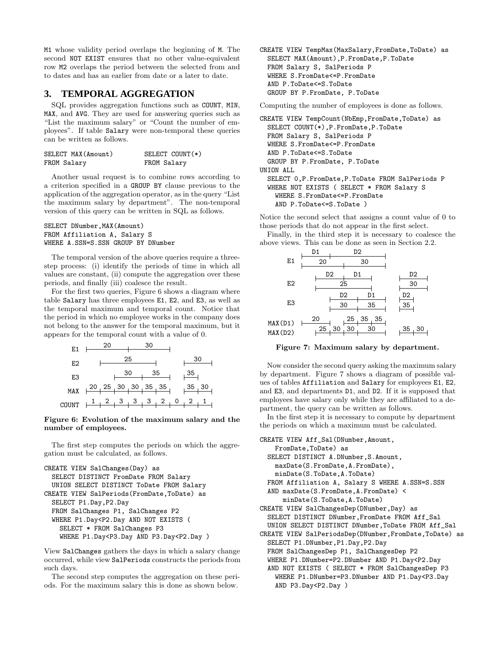M1 whose validity period overlaps the beginning of M. The second NOT EXIST ensures that no other value-equivalent row M2 overlaps the period between the selected from and to dates and has an earlier from date or a later to date.

# **3. TEMPORAL AGGREGATION**

SQL provides aggregation functions such as COUNT, MIN, MAX, and AVG. They are used for answering queries such as "List the maximum salary" or "Count the number of employees". If table Salary were non-temporal these queries can be written as follows.

| SELECT MAX(Amount) | SELECT COUNT(*) |
|--------------------|-----------------|
| FROM Salary        | FROM Salary     |

Another usual request is to combine rows according to a criterion specified in a GROUP BY clause previous to the application of the aggregation operator, as in the query "List the maximum salary by department". The non-temporal version of this query can be written in SQL as follows.

#### SELECT DNumber, MAX(Amount) FROM Affiliation A, Salary S WHERE A.SSN=S.SSN GROUP BY DNumber

The temporal version of the above queries require a threestep process: (i) identify the periods of time in which all values are constant, (ii) compute the aggregation over these periods, and finally (iii) coalesce the result.

For the first two queries, Figure 6 shows a diagram where table Salary has three employees E1, E2, and E3, as well as the temporal maximum and temporal count. Notice that the period in which no employee works in the company does not belong to the answer for the temporal maximum, but it appears for the temporal count with a value of 0.

| E1  |                     | 20 |    |   | 30 |    |   |    |      |  |
|-----|---------------------|----|----|---|----|----|---|----|------|--|
| E2  |                     |    | 25 |   |    |    |   | 30 |      |  |
| E3  |                     |    | 30 |   |    | 35 |   | კა |      |  |
| MAX | ,20,25,30,30,35,35. |    |    |   |    |    |   | 35 | , 30 |  |
|     |                     |    |    | 3 | 3  | 2  | O |    |      |  |

#### Figure 6: Evolution of the maximum salary and the number of employees.

The first step computes the periods on which the aggregation must be calculated, as follows.

```
CREATE VIEW SalChanges(Day) as
 SELECT DISTINCT FromDate FROM Salary
 UNION SELECT DISTINCT ToDate FROM Salary
CREATE VIEW SalPeriods(FromDate,ToDate) as
 SELECT P1.Day,P2.Day
 FROM SalChanges P1, SalChanges P2
 WHERE P1.Day<P2.Day AND NOT EXISTS (
    SELECT * FROM SalChanges P3
    WHERE P1.Day<P3.Day AND P3.Day<P2.Day )
```
View SalChanges gathers the days in which a salary change occurred, while view SalPeriods constructs the periods from such days.

The second step computes the aggregation on these periods. For the maximum salary this is done as shown below.

CREATE VIEW TempMax(MaxSalary,FromDate,ToDate) as SELECT MAX(Amount),P.FromDate,P.ToDate FROM Salary S, SalPeriods P WHERE S.FromDate<=P.FromDate AND P.ToDate<=S.ToDate GROUP BY P.FromDate, P.ToDate

Computing the number of employees is done as follows.

CREATE VIEW TempCount(NbEmp,FromDate,ToDate) as SELECT COUNT(\*),P.FromDate,P.ToDate FROM Salary S, SalPeriods P WHERE S.FromDate<=P.FromDate AND P.ToDate<=S.ToDate GROUP BY P.FromDate, P.ToDate UNION ALL SELECT 0,P.FromDate,P.ToDate FROM SalPeriods P WHERE NOT EXISTS ( SELECT \* FROM Salary S WHERE S.FromDate<=P.FromDate AND P.ToDate<=S.ToDate )

Notice the second select that assigns a count value of 0 to those periods that do not appear in the first select.

Finally, in the third step it is necessary to coalesce the above views. This can be done as seen in Section 2.2.



Figure 7: Maximum salary by department.

Now consider the second query asking the maximum salary by department. Figure 7 shows a diagram of possible values of tables Affiliation and Salary for employees E1, E2, and E3, and departments D1, and D2. If it is supposed that employees have salary only while they are affiliated to a department, the query can be written as follows.

In the first step it is necessary to compute by department the periods on which a maximum must be calculated.

```
CREATE VIEW Aff Sal(DNumber, Amount,
    FromDate,ToDate) as
  SELECT DISTINCT A.DNumber, S.Amount,
    maxDate(S.FromDate,A.FromDate),
    minDate(S.ToDate,A.ToDate)
  FROM Affiliation A, Salary S WHERE A.SSN=S.SSN
  AND maxDate(S.FromDate,A.FromDate) <
      minDate(S.ToDate,A.ToDate)
CREATE VIEW SalChangesDep(DNumber,Day) as
  SELECT DISTINCT DNumber,FromDate FROM Aff_Sal
  UNION SELECT DISTINCT DNumber,ToDate FROM Aff_Sal
CREATE VIEW SalPeriodsDep(DNumber,FromDate,ToDate) as
  SELECT P1.DNumber,P1.Day,P2.Day
  FROM SalChangesDep P1, SalChangesDep P2
  WHERE P1.DNumber=P2.DNumber AND P1.Day<P2.Day
  AND NOT EXISTS ( SELECT * FROM SalChangesDep P3
    WHERE P1.DNumber=P3.DNumber AND P1.Day<P3.Day
    AND P3.Day<P2.Day )
```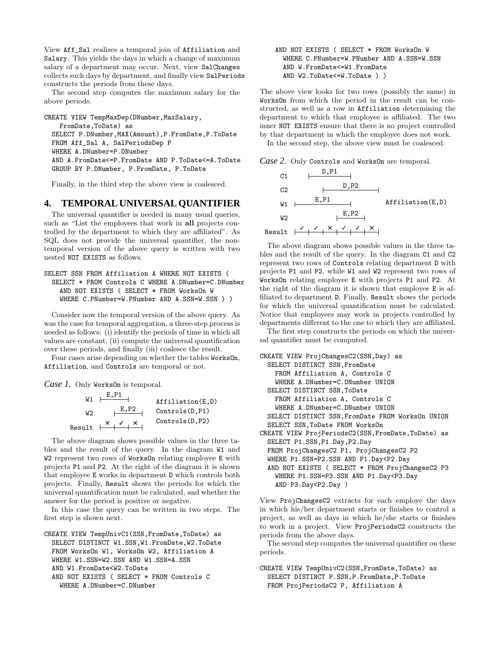View Aff\_Sal realizes a temporal join of Affiliation and Salary. This yields the days in which a change of maximum salary of a department may occur. Next, view SalChanges collects such days by department, and finally view SalPeriods constructs the periods from these days.

The second step computes the maximum salary for the above periods.

CREATE VIEW TempMaxDep(DNumber, MaxSalary, FromDate,ToDate) as SELECT P.DNumber,MAX(Amount),P.FromDate,P.ToDate FROM Aff\_Sal A, SalPeriodsDep P WHERE A.DNumber=P.DNumber AND A.FromDate<=P.FromDate AND P.ToDate<=A.ToDate GROUP BY P.DNumber, P.FromDate, P.ToDate

Finally, in the third step the above view is coalesced.

# **4. TEMPORAL UNIVERSAL QUANTIFIER**

The universal quantifier is needed in many usual queries, such as "List the employees that work in all projects controlled by the department to which they are affiliated". As SQL does not provide the universal quantifier, the nontemporal version of the above query is written with two nested NOT EXISTS as follows.

```
SELECT SSN FROM Affiliation A WHERE NOT EXISTS (
 SELECT * FROM Controls C WHERE A.DNumber=C.DNumber
    AND NOT EXISTS ( SELECT * FROM WorksOn W
    WHERE C.PNumber=W.PNumber AND A.SSN=W.SSN ) )
```
Consider now the temporal version of the above query. As was the case for temporal aggregation, a three-step process is needed as follows: (i) identify the periods of time in which all values are constant, (ii) compute the universal quantification over these periods, and finally (iii) coalesce the result.

Four cases arise depending on whether the tables WorksOn, Affiliation, and Controls are temporal or not.

*Case 1.* Only WorksOn is temporal.

 $E_{\text{B}}$ 

| W1     |                           | Affiliation(E,D)         |
|--------|---------------------------|--------------------------|
| W2     | E,P2                      | $\text{Controls}(D, P1)$ |
| Result | $\mathbf{X}$ $\mathbf{V}$ | $\text{Controls}(D, P2)$ |

The above diagram shows possible values in the three tables and the result of the query. In the diagram W1 and W<sub>2</sub> represent two rows of WorksOn relating employee E with projects P1 and P2. At the right of the diagram it is shown that employee E works in department D which controls both projects. Finally, Result shows the periods for which the universal quantification must be calculated, and whether the answer for the period is positive or negative.

In this case the query can be written in two steps. The first step is shown next.

```
CREATE VIEW TempUnivC1(SSN,FromDate,ToDate) as
 SELECT DISTINCT W1.SSN,W1.FromDate,W2.ToDate
 FROM WorksOn W1, WorksOn W2, Affiliation A
 WHERE W1.SSN=W2.SSN AND W1.SSN=A.SSN
  AND W1.FromDate<W2.ToDate
  AND NOT EXISTS ( SELECT * FROM Controls C
    WHERE A DNumber=C.DNumber
```
#### AND NOT EXISTS ( SELECT \* FROM WorksOn W WHERE C.PNumber=W.PNumber AND A.SSN=W.SSN AND W.FromDate<=W1.FromDate AND W2.ToDate<=W.ToDate ) )

The above view looks for two rows (possibly the same) in WorksOn from which the period in the result can be constructed, as well as a row in Affiliation determining the department to which that employee is affiliated. The two inner NOT EXISTS ensure that there is no project controlled by that department in which the employee does not work. In the second step, the above view must be coalesced.

*Case 2.* Only Controls and WorksOn are temporal.



The above diagram shows possible values in the three tables and the result of the query. In the diagram C1 and C2 represent two rows of Controls relating department D with projects P1 and P2, while W1 and W2 represent two rows of WorksOn relating employee E with projects P1 and P2. At the right of the diagram it is shown that employee E is affiliated to department D. Finally, Result shows the periods for which the universal quantification must be calculated. Notice that employees may work in projects controlled by departments different to the one to which they are affiliated.

The first step constructs the periods on which the universal quantifier must be computed.

```
CREATE VIEW ProjChangesC2(SSN,Day) as
  SELECT DISTINCT SSN,FromDate
    FROM Affiliation A, Controls C
    WHERE A.DNumber=C.DNumber UNION
  SELECT DISTINCT SSN,ToDate
    FROM Affiliation A, Controls C
    WHERE A.DNumber=C.DNumber UNION
  SELECT DISTINCT SSN,FromDate FROM WorksOn UNION
  SELECT SSN,ToDate FROM WorksOn
CREATE VIEW ProjPeriodsC2(SSN,FromDate,ToDate) as
  SELECT P1.SSN,P1.Day,P2.Day
  FROM ProjChangesC2 P1, ProjChangesC2 P2
  WHERE P1.SSN=P2.SSN AND P1.Day<P2.Day
  AND NOT EXISTS ( SELECT * FROM ProjChangesC2 P3
    WHERE P1.SSN=P3.SSN AND P1.Day<P3.Day
    AND P3.Day<P2.Day )
```
View ProjChangesC2 extracts for each employe the days in which his/her department starts or finishes to control a project, as well as days in which he/she starts or finishes to work in a project. View ProjPeriodsC2 constructs the periods from the above days.

The second step computes the universal quantifier on these periods.

CREATE VIEW TempUnivC2(SSN,FromDate,ToDate) as SELECT DISTINCT P.SSN,P.FromDate,P.ToDate FROM ProjPeriodsC2 P, Affiliation A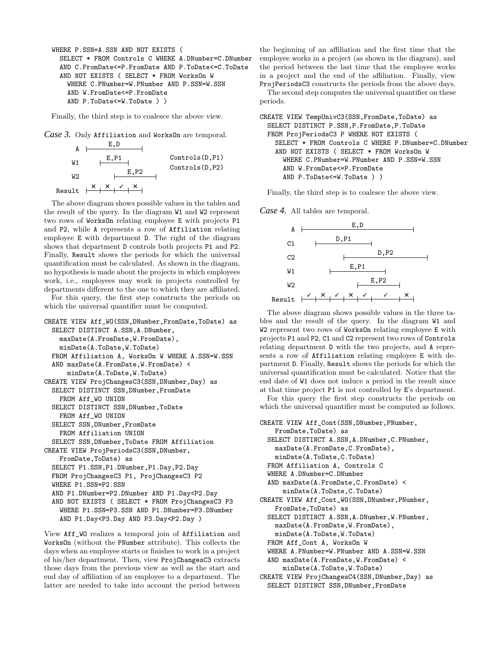```
WHERE P.SSN=A.SSN AND NOT EXISTS (
  SELECT * FROM Controls C WHERE A.DNumber=C.DNumber
  AND C.FromDate<=P.FromDate AND P.ToDate<=C.ToDate
  AND NOT EXISTS ( SELECT * FROM WorksOn W
    WHERE C.PNumber=W.PNumber AND P.SSN=W.SSN
    AND W.FromDate<=P.FromDate
    AND P.ToDate<=W.ToDate ) )
```
Finally, the third step is to coalesce the above view.

*Case 3.* Only Affiliation and WorksOn are temporal.



The above diagram shows possible values in the tables and the result of the query. In the diagram W1 and W2 represent two rows of WorksOn relating employee E with projects P1 and P2, while A represents a row of Affiliation relating employee E with department D. The right of the diagram shows that department D controls both projects P1 and P2. Finally, Result shows the periods for which the universal quantification must be calculated. As shown in the diagram, no hypothesis is made about the projects in which employees work, i.e., employees may work in projects controlled by departments different to the one to which they are affiliated.

For this query, the first step constructs the periods on which the universal quantifier must be computed.

```
CREATE VIEW Aff_WO(SSN,DNumber,FromDate,ToDate) as
 SELECT DISTINCT A.SSN,A.DNumber,
   maxDate(A.FromDate,W.FromDate),
    minDate(A.ToDate,W.ToDate)
 FROM Affiliation A, WorksOn W WHERE A.SSN=W.SSN
 AND maxDate(A.FromDate,W.FromDate) <
     minDate(A.ToDate,W.ToDate)
CREATE VIEW ProjChangesC3(SSN,DNumber,Day) as
 SELECT DISTINCT SSN,DNumber,FromDate
   FROM Aff_WO UNION
 SELECT DISTINCT SSN,DNumber,ToDate
   FROM Aff_WO UNION
 SELECT SSN,DNumber,FromDate
    FROM Affiliation UNION
  SELECT SSN,DNumber,ToDate FROM Affiliation
CREATE VIEW ProjPeriodsC3(SSN,DNumber,
   FromDate,ToDate) as
 SELECT P1.SSN,P1.DNumber,P1.Day,P2.Day
 FROM ProjChangesC3 P1, ProjChangesC3 P2
 WHERE P1.SSN=P2.SSN
 AND P1.DNumber=P2.DNumber AND P1.Day<P2.Day
 AND NOT EXISTS ( SELECT * FROM ProjChangesC3 P3
    WHERE P1.SSN=P3.SSN AND P1.DNumber=P3.DNumber
    AND P1.Day<P3.Day AND P3.Day<P2.Day )
```
View Aff\_WO realizes a temporal join of Affiliation and WorksOn (without the PNumber attribute). This collects the days when an employee starts or finishes to work in a project of his/her department. Then, view ProjChangesC3 extracts those days from the previous view as well as the start and end day of affiliation of an employee to a department. The latter are needed to take into account the period between

the beginning of an affiliation and the first time that the employee works in a project (as shown in the diagram), and the period between the last time that the employee works in a project and the end of the affiliation. Finally, view ProjPeriodsC3 constructs the periods from the above days.

The second step computes the universal quantifier on these periods.

```
CREATE VIEW TempUnivC3(SSN,FromDate,ToDate) as
  SELECT DISTINCT P.SSN,P.FromDate,P.ToDate
  FROM ProjPeriodsC3 P WHERE NOT EXISTS (
    SELECT * FROM Controls C WHERE P.DNumber=C.DNumber
    AND NOT EXISTS ( SELECT * FROM WorksOn W
      WHERE C.PNumber=W.PNumber AND P.SSN=W.SSN
      AND W.FromDate<=P.FromDate
      AND P.ToDate<=W.ToDate ) )
```
Finally, the third step is to coalesce the above view.

*Case 4.* All tables are temporal.



The above diagram shows possible values in the three tables and the result of the query. In the diagram W1 and W<sub>2</sub> represent two rows of WorksOn relating employee E with projects P1 and P2, C1 and C2 represent two rows of Controls relating department D with the two projects, and A represents a row of Affiliation relating employee E with department D. Finally, Result shows the periods for which the universal quantification must be calculated. Notice that the end date of W1 does not induce a period in the result since at that time project P1 is not controlled by E's department.

For this query the first step constructs the periods on which the universal quantifier must be computed as follows.

```
CREATE VIEW Aff_Cont(SSN, DNumber, PNumber,
    FromDate,ToDate) as
  SELECT DISTINCT A.SSN,A.DNumber,C.PNumber,
    maxDate(A.FromDate,C.FromDate),
    minDate(A.ToDate,C.ToDate)
  FROM Affiliation A, Controls C
  WHERE A.DNumber=C.DNumber
  AND maxDate(A.FromDate,C.FromDate) <
      minDate(A.ToDate,C.ToDate)
CREATE VIEW Aff_Cont_WO(SSN,DNumber,PNumber,
    FromDate,ToDate) as
  SELECT DISTINCT A.SSN, A.DNumber, W.PNumber,
    maxDate(A.FromDate,W.FromDate),
    minDate(A.ToDate,W.ToDate)
  FROM Aff_Cont A, WorksOn W
  WHERE A.PNumber=W.PNumber AND A.SSN=W.SSN
  AND maxDate(A.FromDate,W.FromDate) <
      minDate(A.ToDate,W.ToDate)
CREATE VIEW ProjChangesC4(SSN,DNumber,Day) as
  SELECT DISTINCT SSN,DNumber,FromDate
```